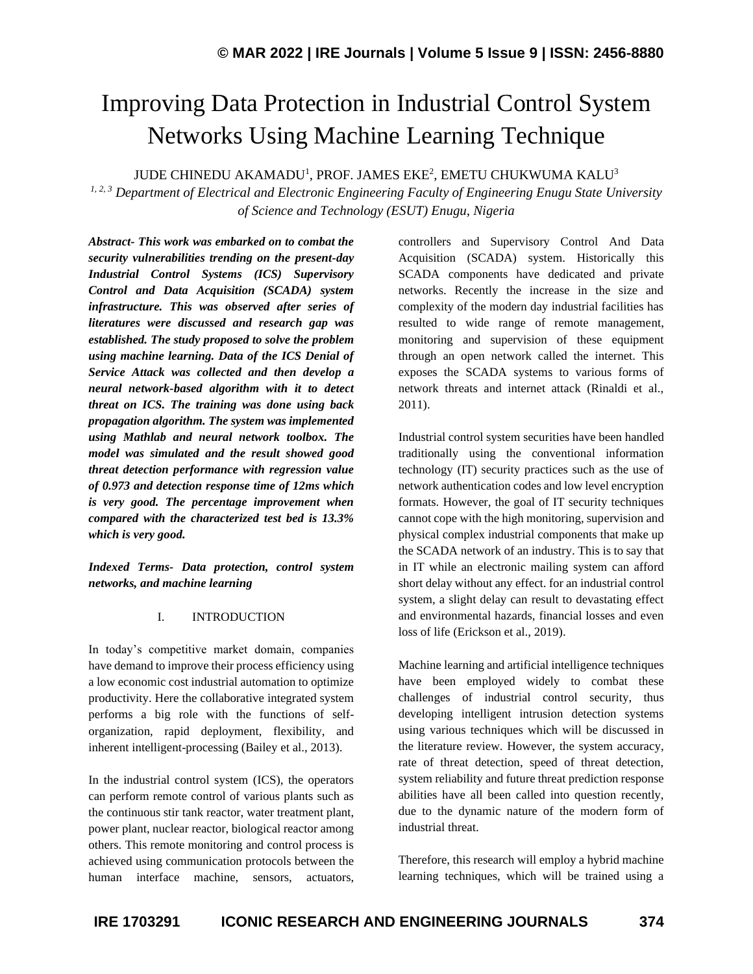# Improving Data Protection in Industrial Control System Networks Using Machine Learning Technique

JUDE CHINEDU AKAMADU<sup>1</sup>, PROF. JAMES EKE $^2$ , EMETU CHUKWUMA KALU $^3$ 

*1, 2, 3 Department of Electrical and Electronic Engineering Faculty of Engineering Enugu State University of Science and Technology (ESUT) Enugu, Nigeria*

*Abstract- This work was embarked on to combat the security vulnerabilities trending on the present-day Industrial Control Systems (ICS) Supervisory Control and Data Acquisition (SCADA) system infrastructure. This was observed after series of literatures were discussed and research gap was established. The study proposed to solve the problem using machine learning. Data of the ICS Denial of Service Attack was collected and then develop a neural network-based algorithm with it to detect threat on ICS. The training was done using back propagation algorithm. The system was implemented using Mathlab and neural network toolbox. The model was simulated and the result showed good threat detection performance with regression value of 0.973 and detection response time of 12ms which is very good. The percentage improvement when compared with the characterized test bed is 13.3% which is very good.*

*Indexed Terms- Data protection, control system networks, and machine learning*

# I. INTRODUCTION

In today's competitive market domain, companies have demand to improve their process efficiency using a low economic cost industrial automation to optimize productivity. Here the collaborative integrated system performs a big role with the functions of selforganization, rapid deployment, flexibility, and inherent intelligent-processing (Bailey et al., 2013).

In the industrial control system (ICS), the operators can perform remote control of various plants such as the continuous stir tank reactor, water treatment plant, power plant, nuclear reactor, biological reactor among others. This remote monitoring and control process is achieved using communication protocols between the human interface machine, sensors, actuators,

controllers and Supervisory Control And Data Acquisition (SCADA) system. Historically this SCADA components have dedicated and private networks. Recently the increase in the size and complexity of the modern day industrial facilities has resulted to wide range of remote management, monitoring and supervision of these equipment through an open network called the internet. This exposes the SCADA systems to various forms of network threats and internet attack (Rinaldi et al., 2011).

Industrial control system securities have been handled traditionally using the conventional information technology (IT) security practices such as the use of network authentication codes and low level encryption formats. However, the goal of IT security techniques cannot cope with the high monitoring, supervision and physical complex industrial components that make up the SCADA network of an industry. This is to say that in IT while an electronic mailing system can afford short delay without any effect. for an industrial control system, a slight delay can result to devastating effect and environmental hazards, financial losses and even loss of life (Erickson et al., 2019).

Machine learning and artificial intelligence techniques have been employed widely to combat these challenges of industrial control security, thus developing intelligent intrusion detection systems using various techniques which will be discussed in the literature review. However, the system accuracy, rate of threat detection, speed of threat detection, system reliability and future threat prediction response abilities have all been called into question recently, due to the dynamic nature of the modern form of industrial threat.

Therefore, this research will employ a hybrid machine learning techniques, which will be trained using a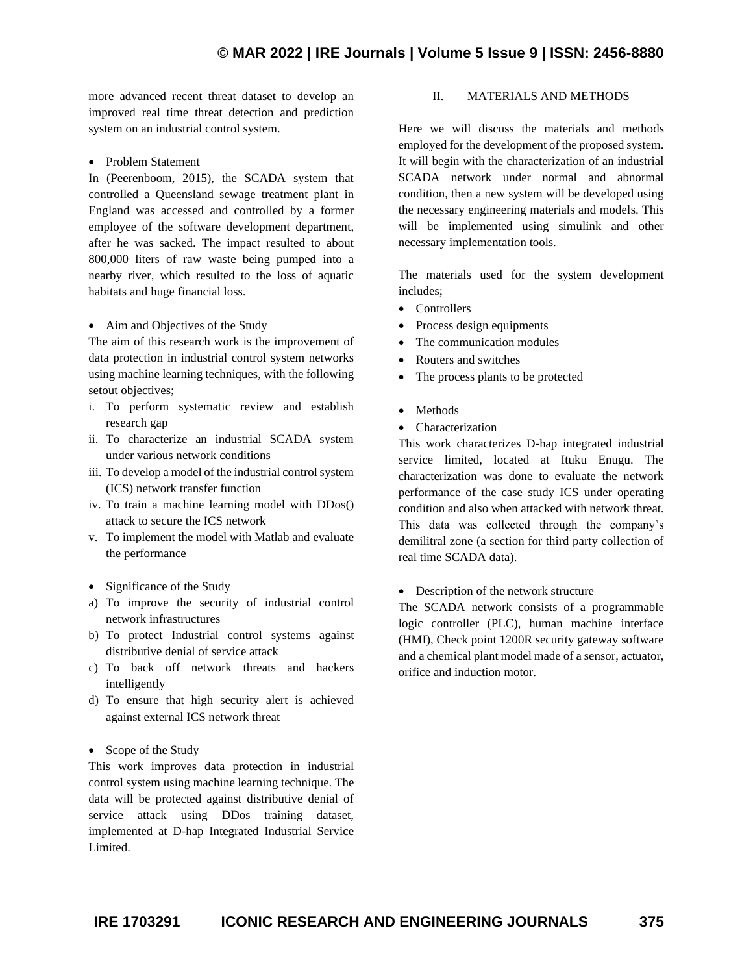# **© MAR 2022 | IRE Journals | Volume 5 Issue 9 | ISSN: 2456-8880**

more advanced recent threat dataset to develop an improved real time threat detection and prediction system on an industrial control system.

• Problem Statement

In (Peerenboom, 2015), the SCADA system that controlled a Queensland sewage treatment plant in England was accessed and controlled by a former employee of the software development department, after he was sacked. The impact resulted to about 800,000 liters of raw waste being pumped into a nearby river, which resulted to the loss of aquatic habitats and huge financial loss.

#### • Aim and Objectives of the Study

The aim of this research work is the improvement of data protection in industrial control system networks using machine learning techniques, with the following setout objectives;

- i. To perform systematic review and establish research gap
- ii. To characterize an industrial SCADA system under various network conditions
- iii. To develop a model of the industrial control system (ICS) network transfer function
- iv. To train a machine learning model with DDos() attack to secure the ICS network
- v. To implement the model with Matlab and evaluate the performance
- Significance of the Study
- a) To improve the security of industrial control network infrastructures
- b) To protect Industrial control systems against distributive denial of service attack
- c) To back off network threats and hackers intelligently
- d) To ensure that high security alert is achieved against external ICS network threat
- Scope of the Study

This work improves data protection in industrial control system using machine learning technique. The data will be protected against distributive denial of service attack using DDos training dataset, implemented at D-hap Integrated Industrial Service Limited.

### II. MATERIALS AND METHODS

Here we will discuss the materials and methods employed for the development of the proposed system. It will begin with the characterization of an industrial SCADA network under normal and abnormal condition, then a new system will be developed using the necessary engineering materials and models. This will be implemented using simulink and other necessary implementation tools.

The materials used for the system development includes;

- Controllers
- Process design equipments
- The communication modules
- Routers and switches
- The process plants to be protected
- Methods
- Characterization

This work characterizes D-hap integrated industrial service limited, located at Ituku Enugu. The characterization was done to evaluate the network performance of the case study ICS under operating condition and also when attacked with network threat. This data was collected through the company's demilitral zone (a section for third party collection of real time SCADA data).

• Description of the network structure

The SCADA network consists of a programmable logic controller (PLC), human machine interface (HMI), Check point 1200R security gateway software and a chemical plant model made of a sensor, actuator, orifice and induction motor.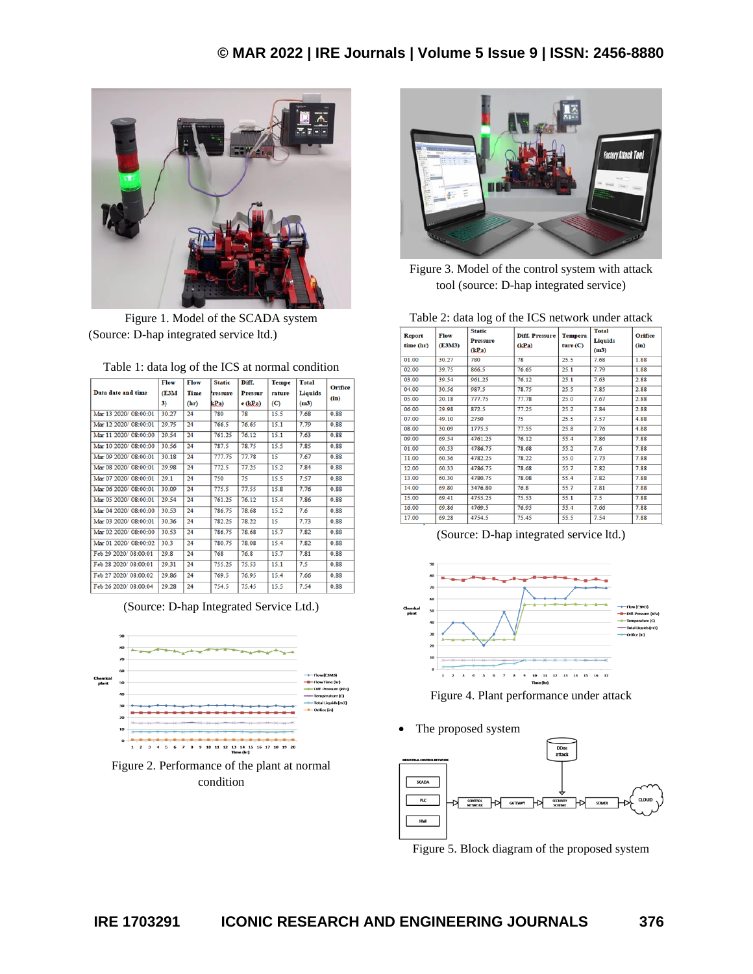

Figure 1. Model of the SCADA system (Source: D-hap integrated service ltd.)

|                      | Flow  | Flow        | <b>Static</b> | Diff.          | <b>Tempe</b> | <b>Total</b>   | <b>Orifice</b> |
|----------------------|-------|-------------|---------------|----------------|--------------|----------------|----------------|
| Data date and time   | (E3M) | <b>Time</b> | ressure       | <b>Pressur</b> | rature       | <b>Liquids</b> |                |
|                      | 3)    | (hr)        | kPa)          | $e$ $(kPa)$    | (C)          | (m3)           | (in)           |
| Mar 13 2020/08:00:01 | 30.27 | 24          | 780           | 78             | 15.5         | 7.68           | 0.88           |
| Mar 12 2020/08:00:01 | 29.75 | 24          | 766.5         | 76.65          | 15.1         | 7.79           | 0.88           |
| Mar 11 2020/08:00:00 | 29.54 | 24          | 761.25        | 76.12          | 15.1         | 7.63           | 0.88           |
| Mar 10 2020/08:00:00 | 30.56 | 24          | 787.5         | 78.75          | 15.5         | 7.85           | 0.88           |
| Mar 09 2020/08:00:01 | 30.18 | 24          | 777.75        | 77.78          | 15           | 7.67           | 0.88           |
| Mar 08 2020/08:00:01 | 29.98 | 24          | 772.5         | 77.25          | 15.2         | 7.84           | 0.88           |
| Mar 07 2020/08:00:01 | 29.1  | 24          | 750           | 75             | 15.5         | 7.57           | 0.88           |
| Mar 06 2020/08:00:01 | 30.09 | 24          | 775.5         | 77.55          | 15.8         | 7.76           | 0.88           |
| Mar 05 2020/08:00:01 | 29.54 | 24          | 761.25        | 76.12          | 15.4         | 7.86           | 0.88           |
| Mar 04 2020/08:00:00 | 30.53 | 24          | 786.75        | 78.68          | 15.2         | 7.6            | 0.88           |
| Mar 03 2020/08:00:01 | 30.36 | 24          | 782.25        | 78.22          | 15           | 7.73           | 0.88           |
| Mar 02 2020/08:00:00 | 30.53 | 24          | 786.75        | 78.68          | 15.7         | 7.82           | 0.88           |
| Mar 01 2020/08:00:02 | 30.3  | 24          | 780.75        | 78.08          | 15.4         | 7.82           | 0.88           |
| Feb 29 2020/08:00:01 | 29.8  | 24          | 768           | 76.8           | 15.7         | 7.81           | 0.88           |
| Feb 28 2020/08:00:01 | 29.31 | 24          | 755.25        | 75.53          | 15.1         | 7.5            | 0.88           |
| Feb 27 2020/08:00:02 | 29.86 | 24          | 769.5         | 76.95          | 15.4         | 7.66           | 0.88           |
| Feb 26 2020/08:00:04 | 29.28 | 24          | 754.5         | 75.45          | 15.5         | 7.54           | 0.88           |

Table 1: data log of the ICS at normal condition









Figure 3. Model of the control system with attack tool (source: D-hap integrated service)

Table 2: data log of the ICS network under attack

| <b>Report</b><br>time (hr) | Flow<br>(E3M3) | <b>Static</b><br><b>Pressure</b><br>(kPa) | <b>Diff. Pressure</b><br>(kPa) | <b>Tempera</b><br>ture(C) | <b>Total</b><br><b>Liquids</b><br>(m3) | <b>Orifice</b><br>(in) |
|----------------------------|----------------|-------------------------------------------|--------------------------------|---------------------------|----------------------------------------|------------------------|
| 01.00                      | 30.27          | 780                                       | 78                             | 25.5                      | 7.68                                   | 1.88                   |
| 02.00                      | 39.75          | 866.5                                     | 76.65                          | 25.1                      | 7.79                                   | 1.88                   |
| 03.00                      | 39.54          | 961.25                                    | 76.12                          | 25.1                      | 7.63                                   | 2.88                   |
| 04.00                      | 30.56          | 987.5                                     | 78.75                          | 25.5                      | 7.85                                   | 2.88                   |
| 05.00                      | 20.18          | 777.75                                    | 77.78                          | 25.0                      | 7.67                                   | 2.88                   |
| 06.00                      | 29.98          | 872.5                                     | 77.25                          | 25.2                      | 7.84                                   | 2.88                   |
| 07.00                      | 49.10          | 2750                                      | 75                             | 25.5                      | 7.57                                   | 4.88                   |
| 08.00                      | 30.09          | 1775.5                                    | 77.55                          | 25.8                      | 7.76                                   | 4.88                   |
| 09.00                      | 69.54          | 4761.25                                   | 76.12                          | 55.4                      | 7.86                                   | 7.88                   |
| 01.00                      | 60.53          | 4786.75                                   | 78.68                          | 55.2                      | 7.6                                    | 7.88                   |
| 11.00                      | 60.36          | 4782.25                                   | 78.22                          | 55.0                      | 7.73                                   | 7.88                   |
| 12.00                      | 60.33          | 4786.75                                   | 78.68                          | 55.7                      | 7.82                                   | 7.88                   |
| 13.00                      | 60.30          | 4780.75                                   | 78.08                          | 55.4                      | 7.82                                   | 7.88                   |
| 14.00                      | 69.80          | 3476.80                                   | 76.8                           | 55.7                      | 7.81                                   | 7.88                   |
| 15.00                      | 69.41          | 4755.25                                   | 75.53                          | 55.1                      | 7.5                                    | 7.88                   |
| 16.00                      | 69.86          | 4769.5                                    | 76.95                          | 55.4                      | 7.66                                   | 7.88                   |
| 17.00                      | 69.28          | 4754.5                                    | 75.45                          | 55.5                      | 7.54                                   | 7.88                   |
|                            |                |                                           |                                |                           |                                        |                        |

(Source: D-hap integrated service ltd.)



Figure 4. Plant performance under attack

The proposed system



Figure 5. Block diagram of the proposed system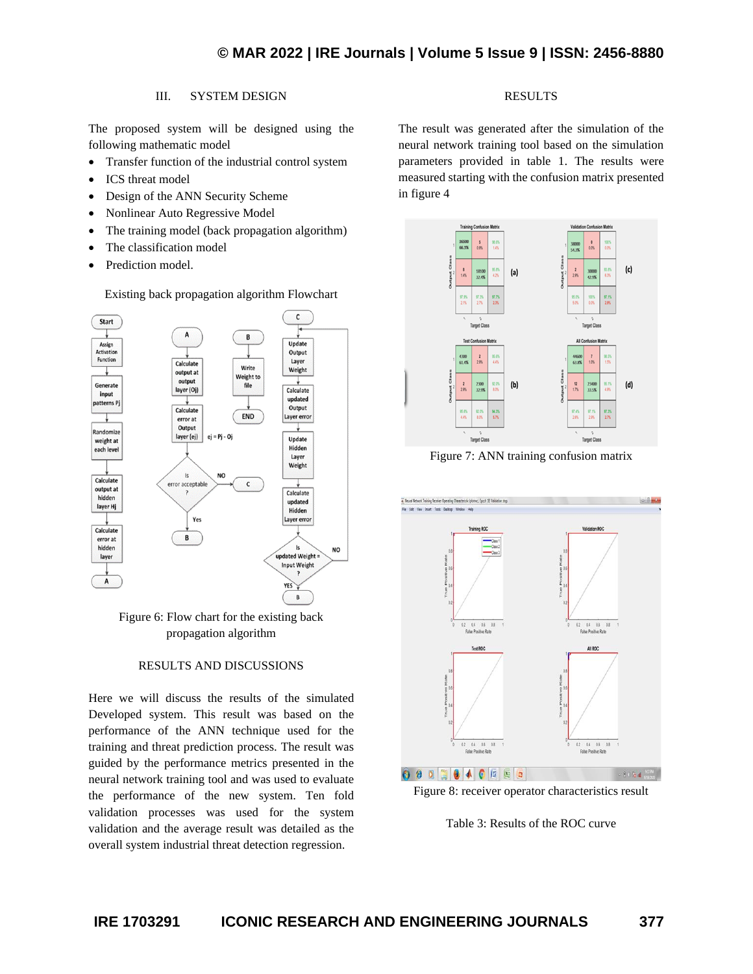in figure 4

# III. SYSTEM DESIGN

The proposed system will be designed using the following mathematic model

- Transfer function of the industrial control system
- ICS threat model
- Design of the ANN Security Scheme
- Nonlinear Auto Regressive Model
- The training model (back propagation algorithm)
- The classification model
- Prediction model.

Existing back propagation algorithm Flowchart



Figure 6: Flow chart for the existing back propagation algorithm

#### RESULTS AND DISCUSSIONS

Here we will discuss the results of the simulated Developed system. This result was based on the performance of the ANN technique used for the training and threat prediction process. The result was guided by the performance metrics presented in the neural network training tool and was used to evaluate the performance of the new system. Ten fold validation processes was used for the system validation and the average result was detailed as the overall system industrial threat detection regression.

The result was generated after the simulation of the neural network training tool based on the simulation parameters provided in table 1. The results were measured starting with the confusion matrix presented

RESULTS



Figure 7: ANN training confusion matrix





Table 3: Results of the ROC curve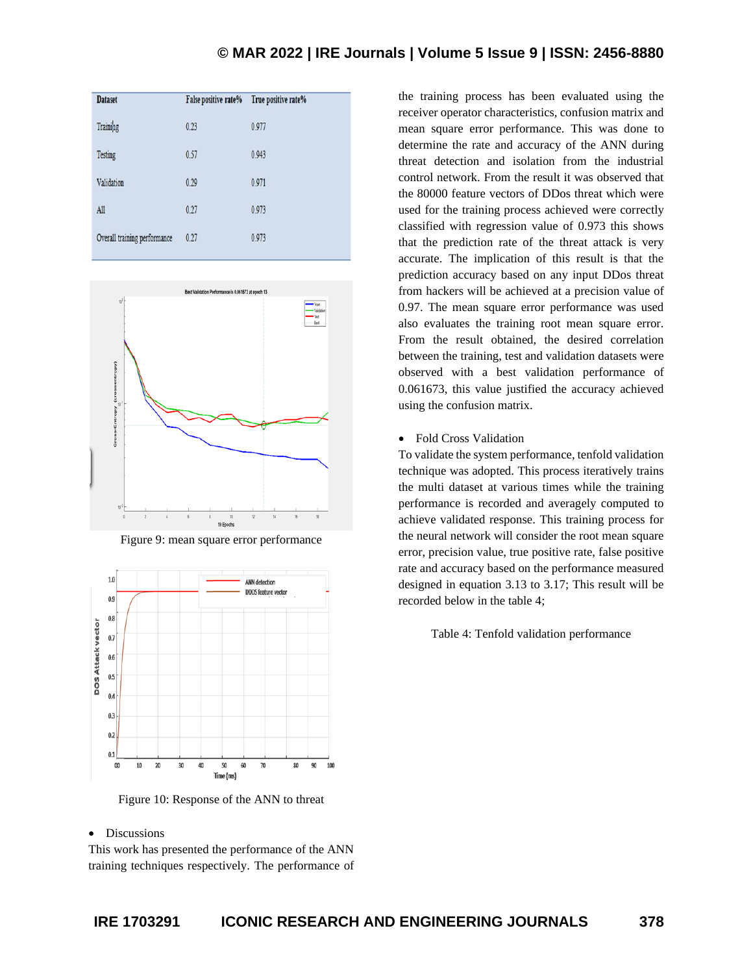| <b>Dataset</b>               | False positive rate% | True positive rate% |
|------------------------------|----------------------|---------------------|
| Training                     | 0.23                 | 0.977               |
| Testing                      | 0.57                 | 0.943               |
| Validation                   | 0.29                 | 0.971               |
| All                          | 0.27                 | 0.973               |
| Overall training performance | 0.27                 | 0.973               |
|                              |                      |                     |



Figure 9: mean square error performance



Figure 10: Response of the ANN to threat

## • Discussions

This work has presented the performance of the ANN training techniques respectively. The performance of the training process has been evaluated using the receiver operator characteristics, confusion matrix and mean square error performance. This was done to determine the rate and accuracy of the ANN during threat detection and isolation from the industrial control network. From the result it was observed that the 80000 feature vectors of DDos threat which were used for the training process achieved were correctly classified with regression value of 0.973 this shows that the prediction rate of the threat attack is very accurate. The implication of this result is that the prediction accuracy based on any input DDos threat from hackers will be achieved at a precision value of 0.97. The mean square error performance was used also evaluates the training root mean square error. From the result obtained, the desired correlation between the training, test and validation datasets were observed with a best validation performance of 0.061673, this value justified the accuracy achieved using the confusion matrix.

• Fold Cross Validation

To validate the system performance, tenfold validation technique was adopted. This process iteratively trains the multi dataset at various times while the training performance is recorded and averagely computed to achieve validated response. This training process for the neural network will consider the root mean square error, precision value, true positive rate, false positive rate and accuracy based on the performance measured designed in equation 3.13 to 3.17; This result will be recorded below in the table 4;

Table 4: Tenfold validation performance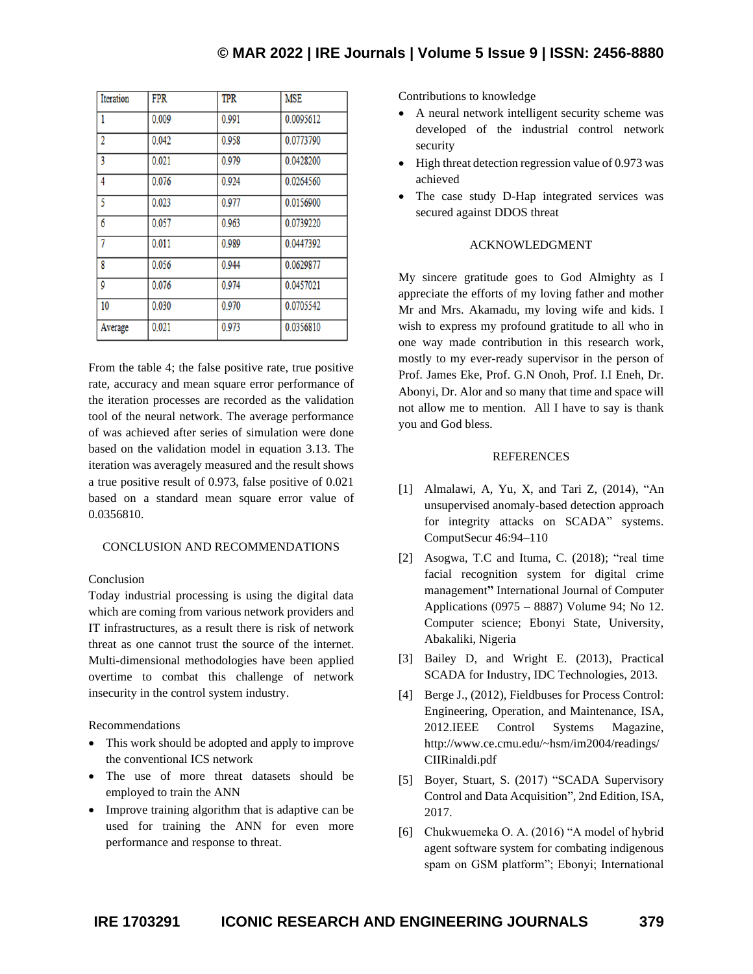| Iteration      | <b>FPR</b> | <b>TPR</b> | <b>MSE</b> |
|----------------|------------|------------|------------|
| 1              | 0.009      | 0.991      | 0.0095612  |
| $\overline{2}$ | 0.042      | 0.958      | 0.0773790  |
| 3              | 0.021      | 0.979      | 0.0428200  |
| 4              | 0.076      | 0.924      | 0.0264560  |
| 5              | 0.023      | 0.977      | 0.0156900  |
| 6              | 0.057      | 0.963      | 0.0739220  |
| 7              | 0.011      | 0.989      | 0.0447392  |
| 8              | 0.056      | 0.944      | 0.0629877  |
| 9              | 0.076      | 0.974      | 0.0457021  |
| 10             | 0.030      | 0.970      | 0.0705542  |
| Average        | 0.021      | 0.973      | 0.0356810  |

From the table 4; the false positive rate, true positive rate, accuracy and mean square error performance of the iteration processes are recorded as the validation tool of the neural network. The average performance of was achieved after series of simulation were done based on the validation model in equation 3.13. The iteration was averagely measured and the result shows a true positive result of 0.973, false positive of 0.021 based on a standard mean square error value of 0.0356810.

#### CONCLUSION AND RECOMMENDATIONS

# Conclusion

Today industrial processing is using the digital data which are coming from various network providers and IT infrastructures, as a result there is risk of network threat as one cannot trust the source of the internet. Multi-dimensional methodologies have been applied overtime to combat this challenge of network insecurity in the control system industry.

#### Recommendations

- This work should be adopted and apply to improve the conventional ICS network
- The use of more threat datasets should be employed to train the ANN
- Improve training algorithm that is adaptive can be used for training the ANN for even more performance and response to threat.

Contributions to knowledge

- A neural network intelligent security scheme was developed of the industrial control network security
- High threat detection regression value of 0.973 was achieved
- The case study D-Hap integrated services was secured against DDOS threat

# ACKNOWLEDGMENT

My sincere gratitude goes to God Almighty as I appreciate the efforts of my loving father and mother Mr and Mrs. Akamadu, my loving wife and kids. I wish to express my profound gratitude to all who in one way made contribution in this research work, mostly to my ever-ready supervisor in the person of Prof. James Eke, Prof. G.N Onoh, Prof. I.I Eneh, Dr. Abonyi, Dr. Alor and so many that time and space will not allow me to mention. All I have to say is thank you and God bless.

#### **REFERENCES**

- [1] Almalawi, A, Yu, X, and Tari Z, (2014), "An unsupervised anomaly-based detection approach for integrity attacks on SCADA" systems. ComputSecur 46:94–110
- [2] Asogwa, T.C and Ituma, C. (2018); "real time facial recognition system for digital crime management**"** International Journal of Computer Applications (0975 – 8887) Volume 94; No 12. Computer science; Ebonyi State, University, Abakaliki, Nigeria
- [3] Bailey D, and Wright E. (2013), Practical SCADA for Industry, IDC Technologies, 2013.
- [4] Berge J., (2012), Fieldbuses for Process Control: Engineering, Operation, and Maintenance, ISA, 2012.IEEE Control Systems Magazine, http://www.ce.cmu.edu/~hsm/im2004/readings/ CIIRinaldi.pdf
- [5] Boyer, Stuart, S. (2017) "SCADA Supervisory Control and Data Acquisition", 2nd Edition, ISA, 2017.
- [6] Chukwuemeka O. A. (2016) "A model of hybrid agent software system for combating indigenous spam on GSM platform"; Ebonyi; International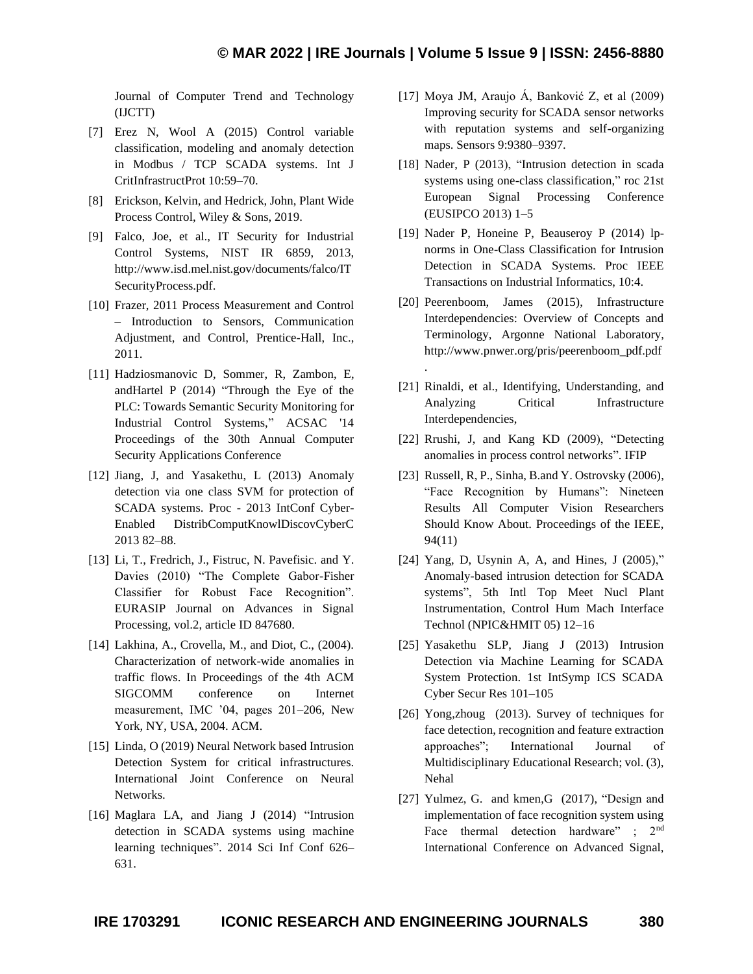.

Journal of Computer Trend and Technology (IJCTT)

- [7] Erez N, Wool A (2015) Control variable classification, modeling and anomaly detection in Modbus / TCP SCADA systems. Int J CritInfrastructProt 10:59–70.
- [8] Erickson, Kelvin, and Hedrick, John, Plant Wide Process Control, Wiley & Sons, 2019.
- [9] Falco, Joe, et al., IT Security for Industrial Control Systems, NIST IR 6859, 2013, http://www.isd.mel.nist.gov/documents/falco/IT SecurityProcess.pdf.
- [10] Frazer, 2011 Process Measurement and Control – Introduction to Sensors, Communication Adjustment, and Control, Prentice-Hall, Inc., 2011.
- [11] Hadziosmanovic D, Sommer, R, Zambon, E, andHartel P (2014) "Through the Eye of the PLC: Towards Semantic Security Monitoring for Industrial Control Systems," ACSAC '14 Proceedings of the 30th Annual Computer Security Applications Conference
- [12] Jiang, J, and Yasakethu, L (2013) Anomaly detection via one class SVM for protection of SCADA systems. Proc - 2013 IntConf Cyber-Enabled DistribComputKnowlDiscovCyberC 2013 82–88.
- [13] Li, T., Fredrich, J., Fistruc, N. Pavefisic. and Y. Davies (2010) "The Complete Gabor-Fisher Classifier for Robust Face Recognition". EURASIP Journal on Advances in Signal Processing, vol.2, article ID 847680.
- [14] Lakhina, A., Crovella, M., and Diot, C., (2004). Characterization of network-wide anomalies in traffic flows. In Proceedings of the 4th ACM SIGCOMM conference on Internet measurement, IMC '04, pages 201–206, New York, NY, USA, 2004. ACM.
- [15] Linda, O (2019) Neural Network based Intrusion Detection System for critical infrastructures. International Joint Conference on Neural Networks.
- [16] Maglara LA, and Jiang J (2014) "Intrusion detection in SCADA systems using machine learning techniques". 2014 Sci Inf Conf 626– 631.
- [17] Moya JM, Araujo Á, Banković Z, et al (2009) Improving security for SCADA sensor networks with reputation systems and self-organizing maps. Sensors 9:9380–9397.
- [18] Nader, P (2013), "Intrusion detection in scada systems using one-class classification," roc 21st European Signal Processing Conference (EUSIPCO 2013) 1–5
- [19] Nader P, Honeine P, Beauseroy P (2014) lpnorms in One-Class Classification for Intrusion Detection in SCADA Systems. Proc IEEE Transactions on Industrial Informatics, 10:4.
- [20] Peerenboom, James (2015), Infrastructure Interdependencies: Overview of Concepts and Terminology, Argonne National Laboratory, http://www.pnwer.org/pris/peerenboom\_pdf.pdf
- [21] Rinaldi, et al., Identifying, Understanding, and Analyzing Critical Infrastructure Interdependencies,
- [22] Rrushi, J, and Kang KD (2009), "Detecting anomalies in process control networks". IFIP
- [23] Russell, R, P., Sinha, B.and Y. Ostrovsky (2006), "Face Recognition by Humans": Nineteen Results All Computer Vision Researchers Should Know About. Proceedings of the IEEE, 94(11)
- [24] Yang, D, Usynin A, A, and Hines, J (2005)," Anomaly-based intrusion detection for SCADA systems", 5th Intl Top Meet Nucl Plant Instrumentation, Control Hum Mach Interface Technol (NPIC&HMIT 05) 12–16
- [25] Yasakethu SLP, Jiang J (2013) Intrusion Detection via Machine Learning for SCADA System Protection. 1st IntSymp ICS SCADA Cyber Secur Res 101–105
- [26] Yong,zhoug (2013). Survey of techniques for face detection, recognition and feature extraction approaches"; International Journal of Multidisciplinary Educational Research; vol. (3), Nehal
- [27] Yulmez, G. and kmen, G (2017), "Design and implementation of face recognition system using Face thermal detection hardware" ; 2<sup>nd</sup> International Conference on Advanced Signal,